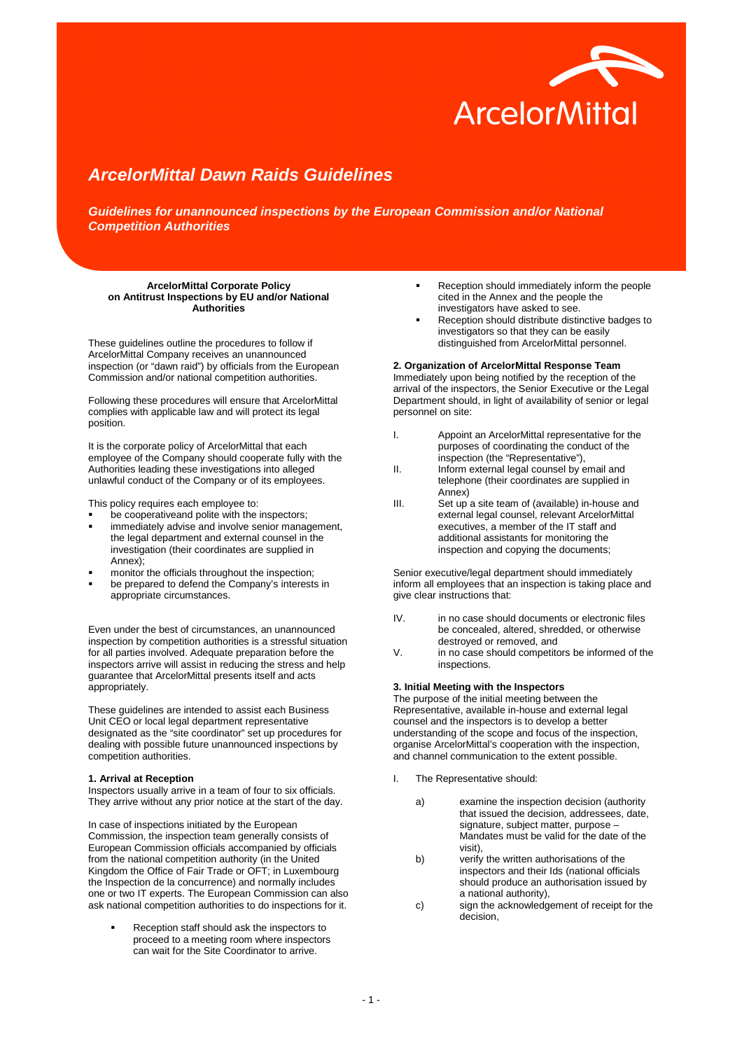

# **ArcelorMittal Dawn Raids Guidelines**

**Guidelines for unannounced inspections by the European Commission and/or National Competition Authorities** 

**ArcelorMittal Corporate Policy on Antitrust Inspections by EU and/or National Authorities** 

These guidelines outline the procedures to follow if ArcelorMittal Company receives an unannounced inspection (or "dawn raid") by officials from the European Commission and/or national competition authorities.

Following these procedures will ensure that ArcelorMittal complies with applicable law and will protect its legal position.

It is the corporate policy of ArcelorMittal that each employee of the Company should cooperate fully with the Authorities leading these investigations into alleged unlawful conduct of the Company or of its employees.

This policy requires each employee to:

- be cooperativeand polite with the inspectors;
- immediately advise and involve senior management, the legal department and external counsel in the investigation (their coordinates are supplied in Annex);
- monitor the officials throughout the inspection;
- be prepared to defend the Company's interests in appropriate circumstances.

Even under the best of circumstances, an unannounced inspection by competition authorities is a stressful situation for all parties involved. Adequate preparation before the inspectors arrive will assist in reducing the stress and help guarantee that ArcelorMittal presents itself and acts appropriately.

These guidelines are intended to assist each Business Unit CEO or local legal department representative designated as the "site coordinator" set up procedures for dealing with possible future unannounced inspections by competition authorities.

#### **1. Arrival at Reception**

Inspectors usually arrive in a team of four to six officials. They arrive without any prior notice at the start of the day.

In case of inspections initiated by the European Commission, the inspection team generally consists of European Commission officials accompanied by officials from the national competition authority (in the United Kingdom the Office of Fair Trade or OFT; in Luxembourg the Inspection de la concurrence) and normally includes one or two IT experts. The European Commission can also ask national competition authorities to do inspections for it.

 Reception staff should ask the inspectors to proceed to a meeting room where inspectors can wait for the Site Coordinator to arrive.

- Reception should immediately inform the people cited in the Annex and the people the investigators have asked to see.
- Reception should distribute distinctive badges to investigators so that they can be easily distinguished from ArcelorMittal personnel.

## **2. Organization of ArcelorMittal Response Team**

Immediately upon being notified by the reception of the arrival of the inspectors, the Senior Executive or the Legal Department should, in light of availability of senior or legal personnel on site:

- I. Appoint an ArcelorMittal representative for the purposes of coordinating the conduct of the inspection (the "Representative"),
- II. Inform external legal counsel by email and telephone (their coordinates are supplied in Annex)
- III. Set up a site team of (available) in-house and external legal counsel, relevant ArcelorMittal executives, a member of the IT staff and additional assistants for monitoring the inspection and copying the documents;

Senior executive/legal department should immediately inform all employees that an inspection is taking place and give clear instructions that:

- IV. in no case should documents or electronic files be concealed, altered, shredded, or otherwise destroyed or removed, and
- V. in no case should competitors be informed of the inspections.

### **3. Initial Meeting with the Inspectors**

The purpose of the initial meeting between the Representative, available in-house and external legal counsel and the inspectors is to develop a better understanding of the scope and focus of the inspection, organise ArcelorMittal's cooperation with the inspection, and channel communication to the extent possible.

- I. The Representative should:
	- a) examine the inspection decision (authority that issued the decision, addressees, date, signature, subject matter, purpose – Mandates must be valid for the date of the visit),
	- b) verify the written authorisations of the inspectors and their Ids (national officials should produce an authorisation issued by a national authority),
	- c) sign the acknowledgement of receipt for the decision,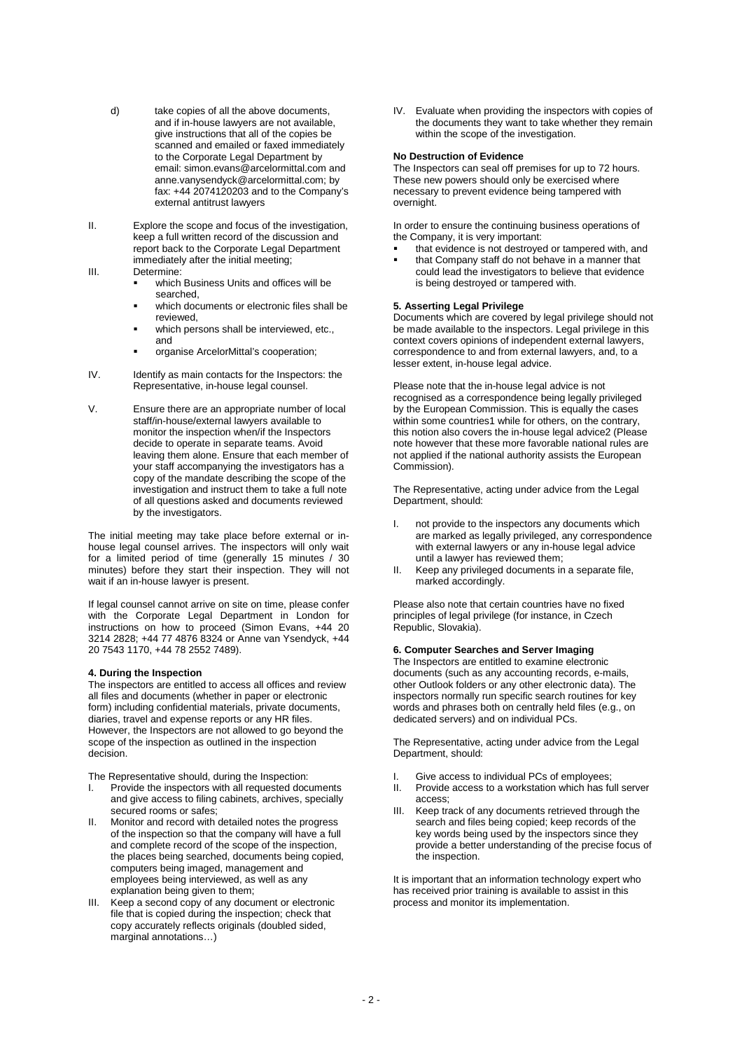- d) take copies of all the above documents, and if in-house lawyers are not available, give instructions that all of the copies be scanned and emailed or faxed immediately to the Corporate Legal Department by email: simon.evans@arcelormittal.com and anne.vanysendyck@arcelormittal.com; by fax: +44 2074120203 and to the Company's external antitrust lawyers
- II. Explore the scope and focus of the investigation, keep a full written record of the discussion and report back to the Corporate Legal Department immediately after the initial meeting;
- III. Determine:
	- which Business Units and offices will be searched,
	- which documents or electronic files shall be reviewed,
	- which persons shall be interviewed, etc., and
	- organise ArcelorMittal's cooperation;
- IV. Identify as main contacts for the Inspectors: the Representative, in-house legal counsel.
- V. Ensure there are an appropriate number of local staff/in-house/external lawyers available to monitor the inspection when/if the Inspectors decide to operate in separate teams. Avoid leaving them alone. Ensure that each member of your staff accompanying the investigators has a copy of the mandate describing the scope of the investigation and instruct them to take a full note of all questions asked and documents reviewed by the investigators.

The initial meeting may take place before external or inhouse legal counsel arrives. The inspectors will only wait for a limited period of time (generally 15 minutes / 30 minutes) before they start their inspection. They will not wait if an in-house lawyer is present.

If legal counsel cannot arrive on site on time, please confer with the Corporate Legal Department in London for instructions on how to proceed (Simon Evans, +44 20 3214 2828; +44 77 4876 8324 or Anne van Ysendyck, +44 20 7543 1170, +44 78 2552 7489).

#### **4. During the Inspection**

The inspectors are entitled to access all offices and review all files and documents (whether in paper or electronic form) including confidential materials, private documents, diaries, travel and expense reports or any HR files. However, the Inspectors are not allowed to go beyond the scope of the inspection as outlined in the inspection decision.

The Representative should, during the Inspection:

- Provide the inspectors with all requested documents and give access to filing cabinets, archives, specially secured rooms or safes;
- II. Monitor and record with detailed notes the progress of the inspection so that the company will have a full and complete record of the scope of the inspection, the places being searched, documents being copied, computers being imaged, management and employees being interviewed, as well as any explanation being given to them;
- III. Keep a second copy of any document or electronic file that is copied during the inspection; check that copy accurately reflects originals (doubled sided, marginal annotations…)

IV. Evaluate when providing the inspectors with copies of the documents they want to take whether they remain within the scope of the investigation.

### **No Destruction of Evidence**

The Inspectors can seal off premises for up to 72 hours. These new powers should only be exercised where necessary to prevent evidence being tampered with overnight.

In order to ensure the continuing business operations of the Company, it is very important:

 that evidence is not destroyed or tampered with, and that Company staff do not behave in a manner that could lead the investigators to believe that evidence is being destroyed or tampered with.

### **5. Asserting Legal Privilege**

Documents which are covered by legal privilege should not be made available to the inspectors. Legal privilege in this context covers opinions of independent external lawyers, correspondence to and from external lawyers, and, to a lesser extent, in-house legal advice.

Please note that the in-house legal advice is not recognised as a correspondence being legally privileged by the European Commission. This is equally the cases within some countries1 while for others, on the contrary, this notion also covers the in-house legal advice2 (Please note however that these more favorable national rules are not applied if the national authority assists the European Commission).

The Representative, acting under advice from the Legal Department, should:

- I. not provide to the inspectors any documents which are marked as legally privileged, any correspondence with external lawyers or any in-house legal advice until a lawyer has reviewed them;
- II. Keep any privileged documents in a separate file, marked accordingly.

Please also note that certain countries have no fixed principles of legal privilege (for instance, in Czech Republic, Slovakia).

#### **6. Computer Searches and Server Imaging**

The Inspectors are entitled to examine electronic documents (such as any accounting records, e-mails, other Outlook folders or any other electronic data). The inspectors normally run specific search routines for key words and phrases both on centrally held files (e.g., on dedicated servers) and on individual PCs.

The Representative, acting under advice from the Legal Department, should:

- I. Give access to individual PCs of employees;<br>II Provide access to a workstation which has fu
- Provide access to a workstation which has full server access;
- III. Keep track of any documents retrieved through the search and files being copied; keep records of the key words being used by the inspectors since they provide a better understanding of the precise focus of the inspection.

It is important that an information technology expert who has received prior training is available to assist in this process and monitor its implementation.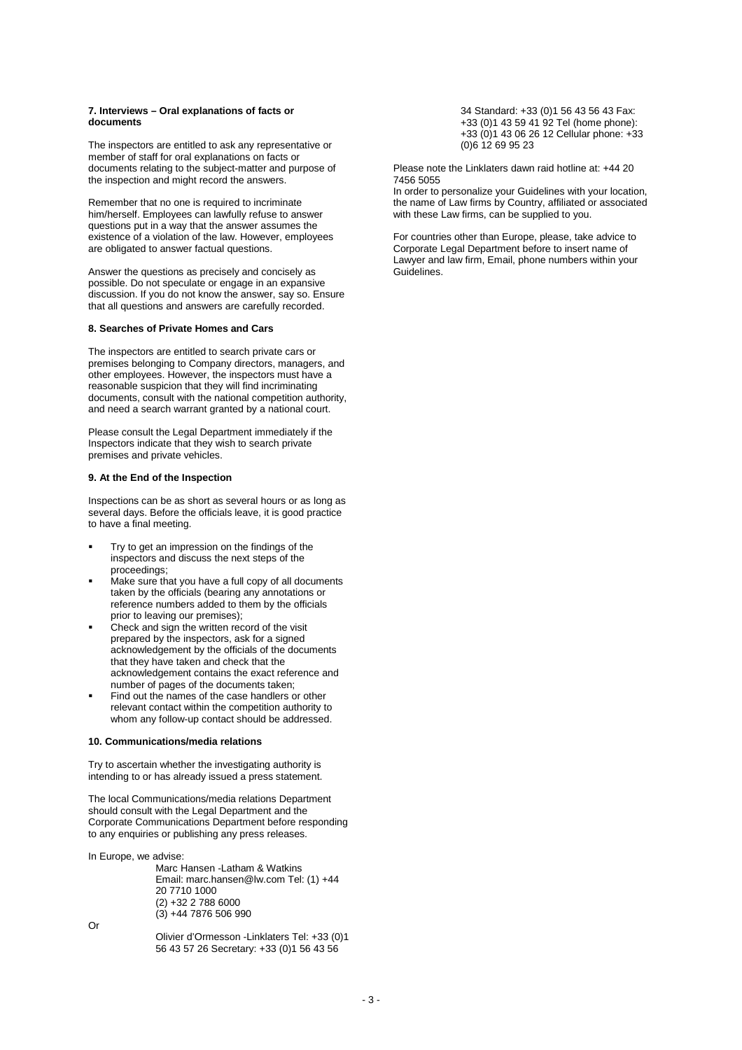#### **7. Interviews – Oral explanations of facts or documents**

The inspectors are entitled to ask any representative or member of staff for oral explanations on facts or documents relating to the subject-matter and purpose of the inspection and might record the answers.

Remember that no one is required to incriminate him/herself. Employees can lawfully refuse to answer questions put in a way that the answer assumes the existence of a violation of the law. However, employees are obligated to answer factual questions.

Answer the questions as precisely and concisely as possible. Do not speculate or engage in an expansive discussion. If you do not know the answer, say so. Ensure that all questions and answers are carefully recorded.

#### **8. Searches of Private Homes and Cars**

The inspectors are entitled to search private cars or premises belonging to Company directors, managers, and other employees. However, the inspectors must have a reasonable suspicion that they will find incriminating documents, consult with the national competition authority, and need a search warrant granted by a national court.

Please consult the Legal Department immediately if the Inspectors indicate that they wish to search private premises and private vehicles.

#### **9. At the End of the Inspection**

Inspections can be as short as several hours or as long as several days. Before the officials leave, it is good practice to have a final meeting.

- Try to get an impression on the findings of the inspectors and discuss the next steps of the proceedings;
- Make sure that you have a full copy of all documents taken by the officials (bearing any annotations or reference numbers added to them by the officials prior to leaving our premises);
- Check and sign the written record of the visit prepared by the inspectors, ask for a signed acknowledgement by the officials of the documents that they have taken and check that the acknowledgement contains the exact reference and number of pages of the documents taken;
- Find out the names of the case handlers or other relevant contact within the competition authority to whom any follow-up contact should be addressed.

#### **10. Communications/media relations**

Try to ascertain whether the investigating authority is intending to or has already issued a press statement.

The local Communications/media relations Department should consult with the Legal Department and the Corporate Communications Department before responding to any enquiries or publishing any press releases.

In Europe, we advise:

Marc Hansen -Latham & Watkins Email: marc.hansen@lw.com Tel: (1) +44 20 7710 1000 (2) +32 2 788 6000  $(3) +447876506990$ 

Or

Olivier d'Ormesson -Linklaters Tel: +33 (0)1 56 43 57 26 Secretary: +33 (0)1 56 43 56

34 Standard: +33 (0)1 56 43 56 43 Fax: +33 (0)1 43 59 41 92 Tel (home phone): +33 (0)1 43 06 26 12 Cellular phone: +33 (0)6 12 69 95 23

Please note the Linklaters dawn raid hotline at: +44 20 7456 5055

In order to personalize your Guidelines with your location, the name of Law firms by Country, affiliated or associated with these Law firms, can be supplied to you.

For countries other than Europe, please, take advice to Corporate Legal Department before to insert name of Lawyer and law firm, Email, phone numbers within your Guidelines.